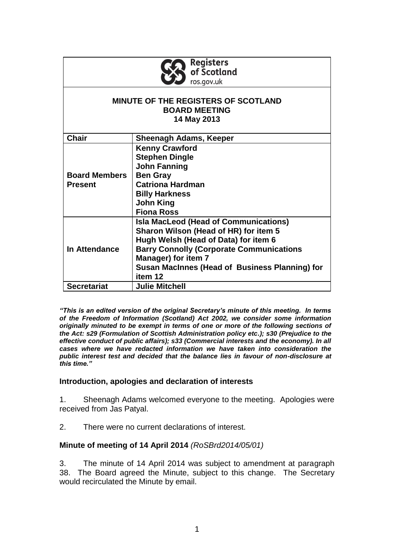

#### **MINUTE OF THE REGISTERS OF SCOTLAND BOARD MEETING 14 May 2013**

| <b>Chair</b>         | Sheenagh Adams, Keeper                          |
|----------------------|-------------------------------------------------|
|                      | <b>Kenny Crawford</b>                           |
|                      | <b>Stephen Dingle</b>                           |
|                      | <b>John Fanning</b>                             |
| <b>Board Members</b> | <b>Ben Gray</b>                                 |
| <b>Present</b>       | <b>Catriona Hardman</b>                         |
|                      | <b>Billy Harkness</b>                           |
|                      | <b>John King</b>                                |
|                      | <b>Fiona Ross</b>                               |
| In Attendance        | <b>Isla MacLeod (Head of Communications)</b>    |
|                      | Sharon Wilson (Head of HR) for item 5           |
|                      | Hugh Welsh (Head of Data) for item 6            |
|                      | <b>Barry Connolly (Corporate Communications</b> |
|                      | <b>Manager) for item 7</b>                      |
|                      | Susan MacInnes (Head of Business Planning) for  |
|                      | item 12                                         |
| <b>Secretariat</b>   | <b>Julie Mitchell</b>                           |

*"This is an edited version of the original Secretary's minute of this meeting. In terms of the Freedom of Information (Scotland) Act 2002, we consider some information originally minuted to be exempt in terms of one or more of the following sections of the Act: s29 (Formulation of Scottish Administration policy etc.); s30 (Prejudice to the effective conduct of public affairs); s33 (Commercial interests and the economy). In all cases where we have redacted information we have taken into consideration the public interest test and decided that the balance lies in favour of non-disclosure at this time."*

#### **Introduction, apologies and declaration of interests**

1. Sheenagh Adams welcomed everyone to the meeting. Apologies were received from Jas Patyal.

2. There were no current declarations of interest.

## **Minute of meeting of 14 April 2014** *(RoSBrd2014/05/01)*

3. The minute of 14 April 2014 was subject to amendment at paragraph 38. The Board agreed the Minute, subject to this change. The Secretary would recirculated the Minute by email.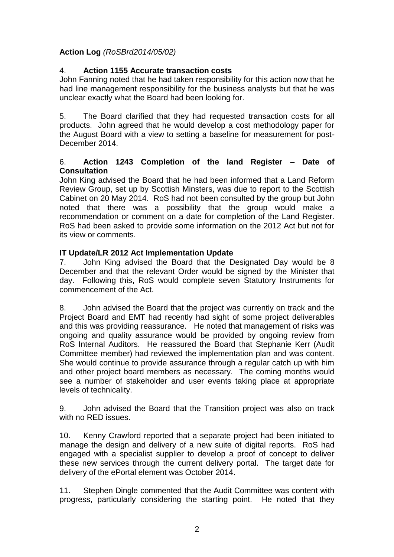# **Action Log** *(RoSBrd2014/05/02)*

## 4. **Action 1155 Accurate transaction costs**

John Fanning noted that he had taken responsibility for this action now that he had line management responsibility for the business analysts but that he was unclear exactly what the Board had been looking for.

5. The Board clarified that they had requested transaction costs for all products. John agreed that he would develop a cost methodology paper for the August Board with a view to setting a baseline for measurement for post-December 2014.

## 6. **Action 1243 Completion of the land Register – Date of Consultation**

John King advised the Board that he had been informed that a Land Reform Review Group, set up by Scottish Minsters, was due to report to the Scottish Cabinet on 20 May 2014. RoS had not been consulted by the group but John noted that there was a possibility that the group would make a recommendation or comment on a date for completion of the Land Register. RoS had been asked to provide some information on the 2012 Act but not for its view or comments.

## **IT Update/LR 2012 Act Implementation Update**

7. John King advised the Board that the Designated Day would be 8 December and that the relevant Order would be signed by the Minister that day. Following this, RoS would complete seven Statutory Instruments for commencement of the Act.

8. John advised the Board that the project was currently on track and the Project Board and EMT had recently had sight of some project deliverables and this was providing reassurance. He noted that management of risks was ongoing and quality assurance would be provided by ongoing review from RoS Internal Auditors. He reassured the Board that Stephanie Kerr (Audit Committee member) had reviewed the implementation plan and was content. She would continue to provide assurance through a regular catch up with him and other project board members as necessary. The coming months would see a number of stakeholder and user events taking place at appropriate levels of technicality.

9. John advised the Board that the Transition project was also on track with no RED issues.

10. Kenny Crawford reported that a separate project had been initiated to manage the design and delivery of a new suite of digital reports. RoS had engaged with a specialist supplier to develop a proof of concept to deliver these new services through the current delivery portal. The target date for delivery of the ePortal element was October 2014.

11. Stephen Dingle commented that the Audit Committee was content with progress, particularly considering the starting point. He noted that they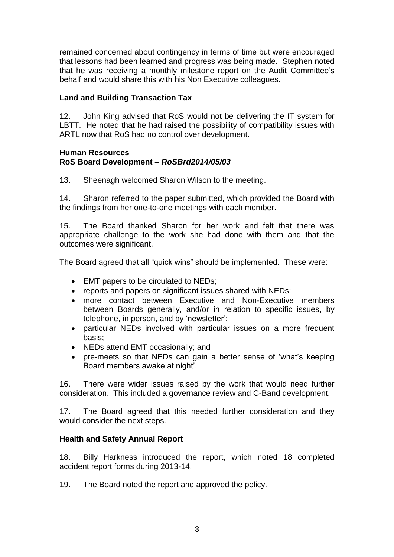remained concerned about contingency in terms of time but were encouraged that lessons had been learned and progress was being made. Stephen noted that he was receiving a monthly milestone report on the Audit Committee's behalf and would share this with his Non Executive colleagues.

## **Land and Building Transaction Tax**

12. John King advised that RoS would not be delivering the IT system for LBTT. He noted that he had raised the possibility of compatibility issues with ARTL now that RoS had no control over development.

#### **Human Resources RoS Board Development –** *RoSBrd2014/05/03*

13. Sheenagh welcomed Sharon Wilson to the meeting.

14. Sharon referred to the paper submitted, which provided the Board with the findings from her one-to-one meetings with each member.

15. The Board thanked Sharon for her work and felt that there was appropriate challenge to the work she had done with them and that the outcomes were significant.

The Board agreed that all "quick wins" should be implemented. These were:

- EMT papers to be circulated to NEDs;
- reports and papers on significant issues shared with NEDs;
- more contact between Executive and Non-Executive members between Boards generally, and/or in relation to specific issues, by telephone, in person, and by 'newsletter';
- particular NEDs involved with particular issues on a more frequent basis;
- NEDs attend EMT occasionally; and
- pre-meets so that NEDs can gain a better sense of 'what's keeping Board members awake at night'.

16. There were wider issues raised by the work that would need further consideration. This included a governance review and C-Band development.

17. The Board agreed that this needed further consideration and they would consider the next steps.

#### **Health and Safety Annual Report**

18. Billy Harkness introduced the report, which noted 18 completed accident report forms during 2013-14.

19. The Board noted the report and approved the policy.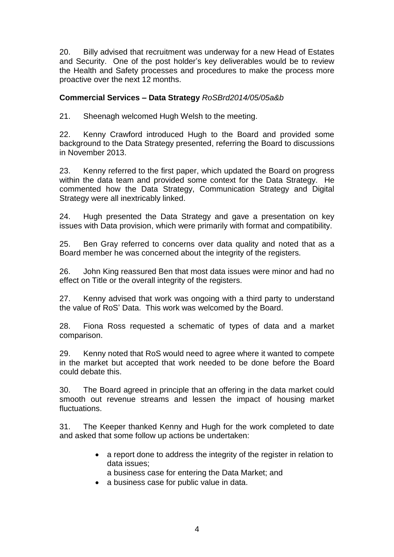20. Billy advised that recruitment was underway for a new Head of Estates and Security. One of the post holder's key deliverables would be to review the Health and Safety processes and procedures to make the process more proactive over the next 12 months.

## **Commercial Services – Data Strategy** *RoSBrd2014/05/05a&b*

21. Sheenagh welcomed Hugh Welsh to the meeting.

22. Kenny Crawford introduced Hugh to the Board and provided some background to the Data Strategy presented, referring the Board to discussions in November 2013.

23. Kenny referred to the first paper, which updated the Board on progress within the data team and provided some context for the Data Strategy. He commented how the Data Strategy, Communication Strategy and Digital Strategy were all inextricably linked.

24. Hugh presented the Data Strategy and gave a presentation on key issues with Data provision, which were primarily with format and compatibility.

25. Ben Gray referred to concerns over data quality and noted that as a Board member he was concerned about the integrity of the registers.

26. John King reassured Ben that most data issues were minor and had no effect on Title or the overall integrity of the registers.

27. Kenny advised that work was ongoing with a third party to understand the value of RoS' Data. This work was welcomed by the Board.

28. Fiona Ross requested a schematic of types of data and a market comparison.

29. Kenny noted that RoS would need to agree where it wanted to compete in the market but accepted that work needed to be done before the Board could debate this.

30. The Board agreed in principle that an offering in the data market could smooth out revenue streams and lessen the impact of housing market fluctuations.

31. The Keeper thanked Kenny and Hugh for the work completed to date and asked that some follow up actions be undertaken:

- a report done to address the integrity of the register in relation to data issues;
	- a business case for entering the Data Market; and
- a business case for public value in data.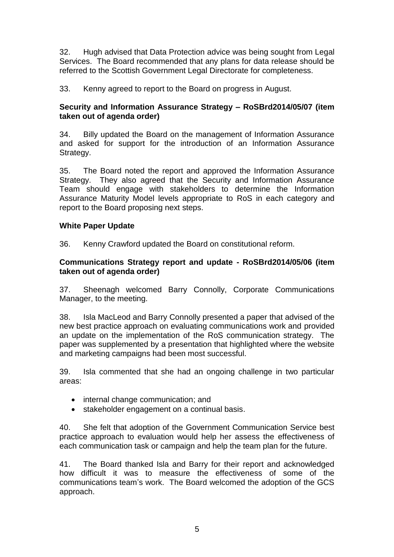32. Hugh advised that Data Protection advice was being sought from Legal Services. The Board recommended that any plans for data release should be referred to the Scottish Government Legal Directorate for completeness.

33. Kenny agreed to report to the Board on progress in August.

## **Security and Information Assurance Strategy – RoSBrd2014/05/07 (item taken out of agenda order)**

34. Billy updated the Board on the management of Information Assurance and asked for support for the introduction of an Information Assurance Strategy.

35. The Board noted the report and approved the Information Assurance Strategy. They also agreed that the Security and Information Assurance Team should engage with stakeholders to determine the Information Assurance Maturity Model levels appropriate to RoS in each category and report to the Board proposing next steps.

## **White Paper Update**

36. Kenny Crawford updated the Board on constitutional reform.

### **Communications Strategy report and update - RoSBrd2014/05/06 (item taken out of agenda order)**

37. Sheenagh welcomed Barry Connolly, Corporate Communications Manager, to the meeting.

38. Isla MacLeod and Barry Connolly presented a paper that advised of the new best practice approach on evaluating communications work and provided an update on the implementation of the RoS communication strategy. The paper was supplemented by a presentation that highlighted where the website and marketing campaigns had been most successful.

39. Isla commented that she had an ongoing challenge in two particular areas:

- internal change communication; and
- stakeholder engagement on a continual basis.

40. She felt that adoption of the Government Communication Service best practice approach to evaluation would help her assess the effectiveness of each communication task or campaign and help the team plan for the future.

41. The Board thanked Isla and Barry for their report and acknowledged how difficult it was to measure the effectiveness of some of the communications team's work. The Board welcomed the adoption of the GCS approach.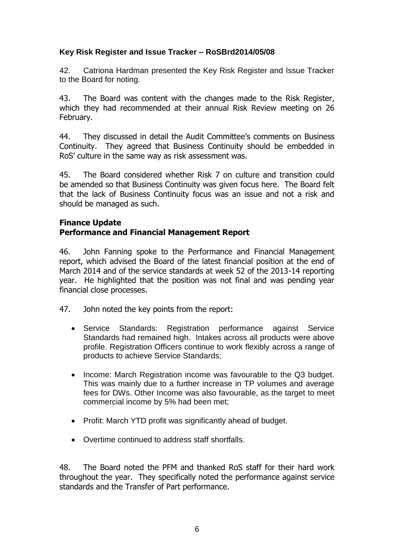## **Key Risk Register and Issue Tracker – RoSBrd2014/05/08**

42. Catriona Hardman presented the Key Risk Register and Issue Tracker to the Board for noting.

43. The Board was content with the changes made to the Risk Register, which they had recommended at their annual Risk Review meeting on 26 February.

44. They discussed in detail the Audit Committee's comments on Business Continuity. They agreed that Business Continuity should be embedded in RoS' culture in the same way as risk assessment was.

45. The Board considered whether Risk 7 on culture and transition could be amended so that Business Continuity was given focus here. The Board felt that the lack of Business Continuity focus was an issue and not a risk and should be managed as such.

# **Finance Update**

## **Performance and Financial Management Report**

46. John Fanning spoke to the Performance and Financial Management report, which advised the Board of the latest financial position at the end of March 2014 and of the service standards at week 52 of the 2013-14 reporting year. He highlighted that the position was not final and was pending year financial close processes.

- 47. John noted the key points from the report:
	- Service Standards: Registration performance against Service Standards had remained high. Intakes across all products were above profile. Registration Officers continue to work flexibly across a range of products to achieve Service Standards;
	- Income: March Registration income was favourable to the Q3 budget. This was mainly due to a further increase in TP volumes and average fees for DWs. Other Income was also favourable, as the target to meet commercial income by 5% had been met;
	- Profit: March YTD profit was significantly ahead of budget.
	- Overtime continued to address staff shortfalls.

48. The Board noted the PFM and thanked RoS staff for their hard work throughout the year. They specifically noted the performance against service standards and the Transfer of Part performance.